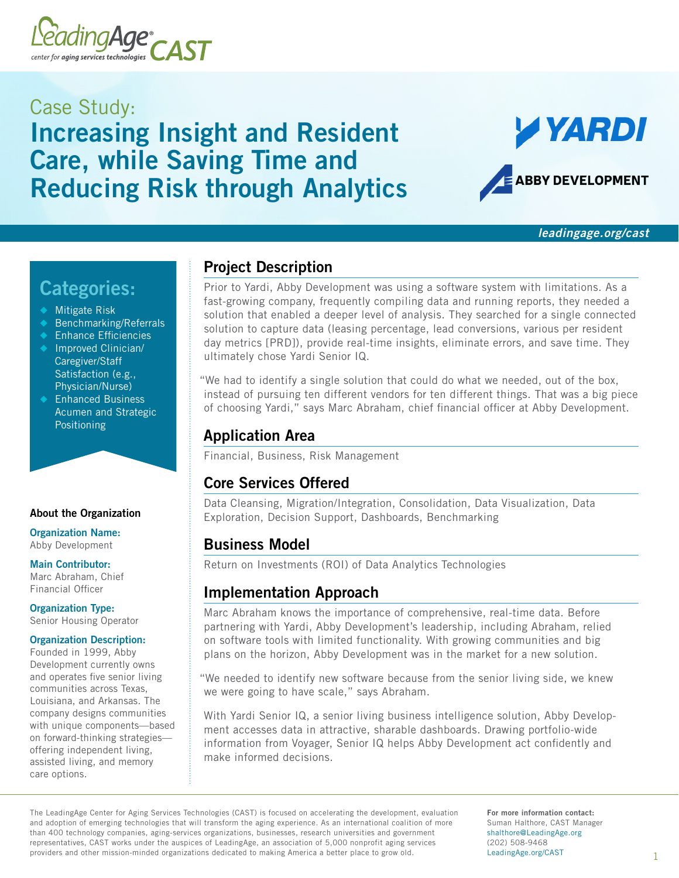

# Case Study: Increasing Insight and Resident Care, while Saving Time and Reducing Risk through Analytics



*[leadingage.org/cast](http://leadingage.org/cast)*

# Categories:

- **Mitigate Risk**
- Benchmarking/Referrals
- **Enhance Efficiencies**
- Improved Clinician/ Caregiver/Staff Satisfaction (e.g., Physician/Nurse)
- ◆ Enhanced Business Acumen and Strategic Positioning

#### About the Organization

Organization Name: Abby Development

#### Main Contributor:

Marc Abraham, Chief Financial Officer

Organization Type: Senior Housing Operator

#### Organization Description:

Founded in 1999, Abby Development currently owns and operates five senior living communities across Texas, Louisiana, and Arkansas. The company designs communities with unique components—based on forward-thinking strategies offering independent living, assisted living, and memory care options.

# Project Description

Prior to Yardi, Abby Development was using a software system with limitations. As a fast-growing company, frequently compiling data and running reports, they needed a solution that enabled a deeper level of analysis. They searched for a single connected solution to capture data (leasing percentage, lead conversions, various per resident day metrics [PRD]), provide real-time insights, eliminate errors, and save time. They ultimately chose Yardi Senior IQ.

"We had to identify a single solution that could do what we needed, out of the box, instead of pursuing ten different vendors for ten different things. That was a big piece of choosing Yardi," says Marc Abraham, chief financial officer at Abby Development.

# Application Area

Financial, Business, Risk Management

### Core Services Offered

Data Cleansing, Migration/Integration, Consolidation, Data Visualization, Data Exploration, Decision Support, Dashboards, Benchmarking

### Business Model

Return on Investments (ROI) of Data Analytics Technologies

### Implementation Approach

Marc Abraham knows the importance of comprehensive, real-time data. Before partnering with Yardi, Abby Development's leadership, including Abraham, relied on software tools with limited functionality. With growing communities and big plans on the horizon, Abby Development was in the market for a new solution.

"We needed to identify new software because from the senior living side, we knew we were going to have scale," says Abraham.

With Yardi Senior IQ, a senior living business intelligence solution, Abby Development accesses data in attractive, sharable dashboards. Drawing portfolio-wide information from Voyager, Senior IQ helps Abby Development act confidently and make informed decisions.

The LeadingAge Center for Aging Services Technologies (CAST) is focused on accelerating the development, evaluation and adoption of emerging technologies that will transform the aging experience. As an international coalition of more than 400 technology companies, aging-services organizations, businesses, research universities and government representatives, CAST works under the auspices of LeadingAge, an association of 5,000 nonprofit aging services providers and other mission-minded organizations dedicated to making America a better place to grow old.

For more information contact: Suman Halthore, CAST Manager shalthor[e@LeadingAge.org](mailto:shalthore%40leadingage.org?subject=CAST%20Case%20Study%20Question) (202) 508-9468 [LeadingAge.org/CAST](http://LeadingAge.org/CAST)